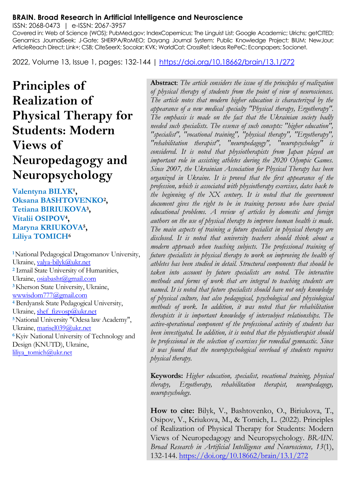#### **BRAIN. Broad Research in Artificial Intelligence and Neuroscience**

ISSN: 2068-0473 | e-ISSN: 2067-3957

Covered in: Web of Science (WOS); PubMed.gov; IndexCopernicus; The Linguist List; Google Academic; Ulrichs; getCITED; Genamics JournalSeek; J-Gate; SHERPA/RoMEO; Dayang Journal System; Public Knowledge Project; BIUM; NewJour; ArticleReach Direct; Link+; CSB; CiteSeerX; Socolar; KVK; WorldCat; CrossRef; Ideas RePeC; Econpapers; Socionet.

2022, Volume 13, Issue 1, pages: 132-144 |<https://doi.org/10.18662/brain/13.1/272>

# **Principles of Realization of Physical Therapy for Students: Modern Views of Neuropedagogy and Neuropsychology**

Valentyna BILYK<sup>1</sup>, **Oksana BASHTOVENKO<sup>2</sup> , Tetiana BIRIUKOVA<sup>3</sup> , Vitalii OSIPOV<sup>4</sup> , Maryna KRIUKOVA<sup>5</sup> , Liliya TOMICH<sup>6</sup>**

**<sup>1</sup>**National Pedagogical Dragomanov University, Ukraine[, valya-bilyk@ukr.net](mailto:valya-bilyk@ukr.net) **<sup>2</sup>** Izmail State University of Humanities, Ukraine[, osiabasht@gmail.com](mailto:osiabasht@gmail.com) **<sup>3</sup>**Kherson State University, Ukraine, [wwwisdom777@gmail.com](mailto:wwwisdom777@gmail.com) **<sup>4</sup>** Berdyansk State Pedagogical University, Ukraine[, shef\\_fizvosp@ukr.net](mailto:shef_fizvosp@ukr.net) **<sup>5</sup>**National University "Odesa law Academy", Ukraine[, marisel039@ukr.net](mailto:marisel039@ukr.net) **<sup>6</sup>**Kyiv National University of Technology and Design (KNUTD), Ukraine, [liliya\\_tomich@ukr.net](mailto:liliya_tomich@ukr.net)

**Abstract**: *The article considers the issue of the principles of realization of physical therapy of students from the point of view of neurosciences. The article notes that modern higher education is characterized by the appearance of a new medical specialty "Physical therapy, Ergotherapy". The emphasis is made on the fact that the Ukrainian society badly needed such specialists. The essence of such concepts: "higher education", "specialist", "vocational training", "physical therapy", "Ergotherapy", "rehabilitation therapist", "neuropedagogy", "neuropsychology" is considered. It is noted that physiotherapists from Japan played an important role in assisting athletes during the 2020 Olympic Games. Since 2007, the Ukrainian Association for Physical Therapy has been organized in Ukraine. It is proved that the first appearance of the profession, which is associated with physiotherapy exercises, dates back to the beginning of the XX century. It is noted that the government document gives the right to be in training persons who have special educational problems. A review of articles by domestic and foreign authors on the use of physical therapy to improve human health is made. The main aspects of training a future specialist in physical therapy are disclosed. It is noted that university teachers should think about a modern approach when teaching subjects. The professional training of future specialists in physical therapy to work on improving the health of athletes has been studied in detail. Structural components that should be taken into account by future specialists are noted. The interactive methods and forms of work that are integral to teaching students are named. It is noted that future specialists should have not only knowledge of physical culture, but also pedagogical, psychological and physiological methods of work. In addition, it was noted that for rehabilitation therapists it is important knowledge of intersubject relationships. The active-operational component of the professional activity of students has been investigated. In addition, it is noted that the physiotherapist should be professional in the selection of exercises for remedial gymnastic. Since it was found that the neuropsychological overload of students requires physical therapy.*

**Keywords:** *Higher education, specialist, vocational training, physical therapy, Ergotherapy, rehabilitation therapist, neuropedagogy, neuropsychology.*

**How to cite:** Bilyk, V., Bashtovenko, O., Biriukova, T., Osipov, V., Kriukova, M., & Tomich, L. (2022). Principles of Realization of Physical Therapy for Students: Modern Views of Neuropedagogy and Neuropsychology. *BRAIN. Broad Research in Artificial Intelligence and Neuroscience, 13*(1), 132-144.<https://doi.org/10.18662/brain/13.1/272>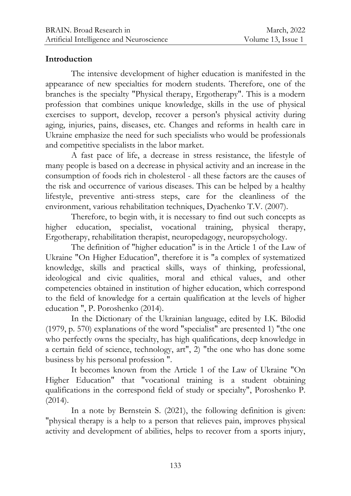### **Introduction**

The intensive development of higher education is manifested in the appearance of new specialties for modern students. Therefore, one of the branches is the specialty "Physical therapy, Ergotherapy". This is a modern profession that combines unique knowledge, skills in the use of physical exercises to support, develop, recover a person's physical activity during aging, injuries, pains, diseases, etc. Changes and reforms in health care in Ukraine emphasize the need for such specialists who would be professionals and competitive specialists in the labor market.

A fast pace of life, a decrease in stress resistance, the lifestyle of many people is based on a decrease in physical activity and an increase in the consumption of foods rich in cholesterol - all these factors are the causes of the risk and occurrence of various diseases. This can be helped by a healthy lifestyle, preventive anti-stress steps, care for the cleanliness of the environment, various rehabilitation techniques, Dyachenko T.V. (2007).

Therefore, to begin with, it is necessary to find out such concepts as higher education, specialist, vocational training, physical therapy, Ergotherapy, rehabilitation therapist, neuropedagogy, neuropsychology.

The definition of "higher education" is in the Article 1 of the Law of Ukraine "On Higher Education", therefore it is "a complex of systematized knowledge, skills and practical skills, ways of thinking, professional, ideological and civic qualities, moral and ethical values, and other competencies obtained in institution of higher education, which correspond to the field of knowledge for a certain qualification at the levels of higher education ", P. Poroshenko (2014).

In the Dictionary of the Ukrainian language, edited by I.K. Bilodid (1979, p. 570) explanations of the word "specialist" are presented 1) "the one who perfectly owns the specialty, has high qualifications, deep knowledge in a certain field of science, technology, art", 2) "the one who has done some business by his personal profession ".

It becomes known from the Article 1 of the Law of Ukraine "On Higher Education" that "vocational training is a student obtaining qualifications in the correspond field of study or specialty", Poroshenko P. (2014).

In a note by Bernstein S. (2021), the following definition is given: "physical therapy is a help to a person that relieves pain, improves physical activity and development of abilities, helps to recover from a sports injury,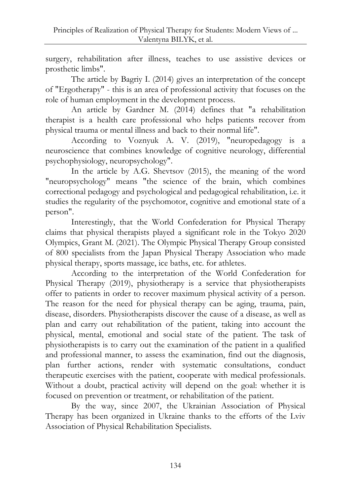surgery, rehabilitation after illness, teaches to use assistive devices or prosthetic limbs".

The article by Bagriy I. (2014) gives an interpretation of the concept of "Ergotherapy" - this is an area of professional activity that focuses on the role of human employment in the development process.

An article by Gardner M. (2014) defines that "a rehabilitation therapist is a health care professional who helps patients recover from physical trauma or mental illness and back to their normal life".

According to Voznyuk A. V. (2019), "neuropedagogy is a neuroscience that combines knowledge of cognitive neurology, differential psychophysiology, neuropsychology".

In the article by A.G. Shevtsov (2015), the meaning of the word "neuropsychology" means "the science of the brain, which combines correctional pedagogy and psychological and pedagogical rehabilitation, i.e. it studies the regularity of the psychomotor, cognitive and emotional state of a person".

Interestingly, that the World Confederation for Physical Therapy claims that physical therapists played a significant role in the Tokyo 2020 Olympics, Grant M. (2021). The Olympic Physical Therapy Group consisted of 800 specialists from the Japan Physical Therapy Association who made physical therapy, sports massage, ice baths, etc. for athletes.

According to the interpretation of the World Confederation for Physical Therapy (2019), physiotherapy is a service that physiotherapists offer to patients in order to recover maximum physical activity of a person. The reason for the need for physical therapy can be aging, trauma, pain, disease, disorders. Physiotherapists discover the cause of a disease, as well as plan and carry out rehabilitation of the patient, taking into account the physical, mental, emotional and social state of the patient. The task of physiotherapists is to carry out the examination of the patient in a qualified and professional manner, to assess the examination, find out the diagnosis, plan further actions, render with systematic consultations, conduct therapeutic exercises with the patient, cooperate with medical professionals. Without a doubt, practical activity will depend on the goal: whether it is focused on prevention or treatment, or rehabilitation of the patient.

By the way, since 2007, the Ukrainian Association of Physical Therapy has been organized in Ukraine thanks to the efforts of the Lviv Association of Physical Rehabilitation Specialists.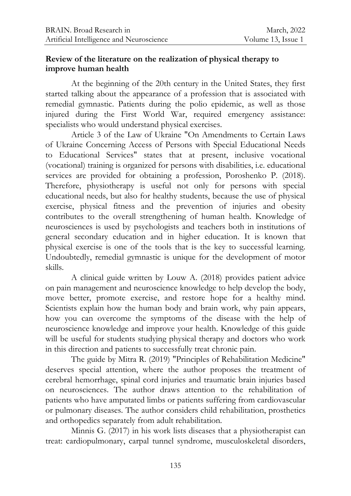### **Review of the literature on the realization of physical therapy to improve human health**

At the beginning of the 20th century in the United States, they first started talking about the appearance of a profession that is associated with remedial gymnastic. Patients during the polio epidemic, as well as those injured during the First World War, required emergency assistance: specialists who would understand physical exercises.

Article 3 of the Law of Ukraine "On Amendments to Certain Laws of Ukraine Concerning Access of Persons with Special Educational Needs to Educational Services" states that at present, inclusive vocational (vocational) training is organized for persons with disabilities, i.e. educational services are provided for obtaining a profession, Poroshenko P. (2018). Therefore, physiotherapy is useful not only for persons with special educational needs, but also for healthy students, because the use of physical exercise, physical fitness and the prevention of injuries and obesity contributes to the overall strengthening of human health. Knowledge of neurosciences is used by psychologists and teachers both in institutions of general secondary education and in higher education. It is known that physical exercise is one of the tools that is the key to successful learning. Undoubtedly, remedial gymnastic is unique for the development of motor skills.

A clinical guide written by Louw A. (2018) provides patient advice on pain management and neuroscience knowledge to help develop the body, move better, promote exercise, and restore hope for a healthy mind. Scientists explain how the human body and brain work, why pain appears, how you can overcome the symptoms of the disease with the help of neuroscience knowledge and improve your health. Knowledge of this guide will be useful for students studying physical therapy and doctors who work in this direction and patients to successfully treat chronic pain.

The guide by Mitra R. (2019) "Principles of Rehabilitation Medicine" deserves special attention, where the author proposes the treatment of cerebral hemorrhage, spinal cord injuries and traumatic brain injuries based on neurosciences. The author draws attention to the rehabilitation of patients who have amputated limbs or patients suffering from cardiovascular or pulmonary diseases. The author considers child rehabilitation, prosthetics and orthopedics separately from adult rehabilitation.

Minnis G. (2017) in his work lists diseases that a physiotherapist can treat: cardiopulmonary, carpal tunnel syndrome, musculoskeletal disorders,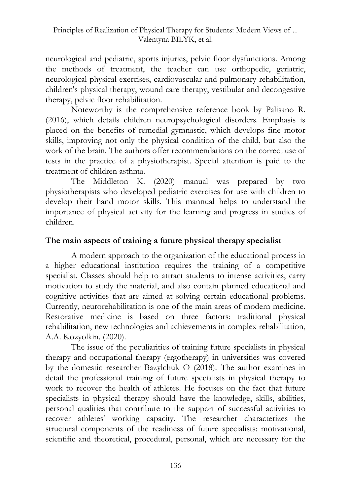neurological and pediatric, sports injuries, pelvic floor dysfunctions. Among the methods of treatment, the teacher can use orthopedic, geriatric, neurological physical exercises, cardiovascular and pulmonary rehabilitation, children's physical therapy, wound care therapy, vestibular and decongestive therapy, pelvic floor rehabilitation.

Noteworthy is the comprehensive reference book by Palisano R. (2016), which details children neuropsychological disorders. Emphasis is placed on the benefits of remedial gymnastic, which develops fine motor skills, improving not only the physical condition of the child, but also the work of the brain. The authors offer recommendations on the correct use of tests in the practice of a physiotherapist. Special attention is paid to the treatment of children asthma.

The Middleton K. (2020) manual was prepared by two physiotherapists who developed pediatric exercises for use with children to develop their hand motor skills. This mannual helps to understand the importance of physical activity for the learning and progress in studies of children.

## **The main aspects of training a future physical therapy specialist**

A modern approach to the organization of the educational process in a higher educational institution requires the training of a competitive specialist. Classes should help to attract students to intense activities, carry motivation to study the material, and also contain planned educational and cognitive activities that are aimed at solving certain educational problems. Currently, neurorehabilitation is one of the main areas of modern medicine. Restorative medicine is based on three factors: traditional physical rehabilitation, new technologies and achievements in complex rehabilitation, A.A. Kozyolkin. (2020).

The issue of the peculiarities of training future specialists in physical therapy and occupational therapy (ergotherapy) in universities was covered by the domestic researcher Bazylchuk O (2018). The author examines in detail the professional training of future specialists in physical therapy to work to recover the health of athletes. He focuses on the fact that future specialists in physical therapy should have the knowledge, skills, abilities, personal qualities that contribute to the support of successful activities to recover athletes' working capacity. The researcher characterizes the structural components of the readiness of future specialists: motivational, scientific and theoretical, procedural, personal, which are necessary for the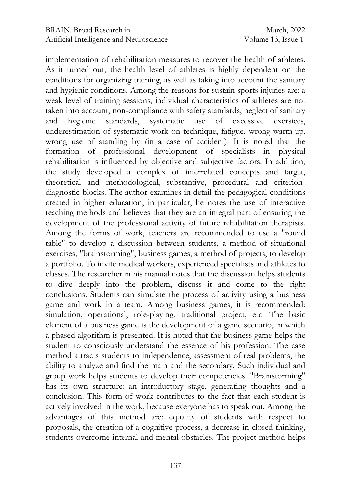implementation of rehabilitation measures to recover the health of athletes. As it turned out, the health level of athletes is highly dependent on the conditions for organizing training, as well as taking into account the sanitary and hygienic conditions. Among the reasons for sustain sports injuries are: a weak level of training sessions, individual characteristics of athletes are not taken into account, non-compliance with safety standards, neglect of sanitary and hygienic standards, systematic use of excessive exersices, underestimation of systematic work on technique, fatigue, wrong warm-up, wrong use of standing by (in a case of accident). It is noted that the formation of professional development of specialists in physical rehabilitation is influenced by objective and subjective factors. In addition, the study developed a complex of interrelated concepts and target, theoretical and methodological, substantive, procedural and criteriondiagnostic blocks. The author examines in detail the pedagogical conditions created in higher education, in particular, he notes the use of interactive teaching methods and believes that they are an integral part of ensuring the development of the professional activity of future rehabilitation therapists. Among the forms of work, teachers are recommended to use a "round table" to develop a discussion between students, a method of situational exercises, "brainstorming", business games, a method of projects, to develop a portfolio. To invite medical workers, experienced specialists and athletes to classes. The researcher in his manual notes that the discussion helps students to dive deeply into the problem, discuss it and come to the right conclusions. Students can simulate the process of activity using a business game and work in a team. Among business games, it is recommended: simulation, operational, role-playing, traditional project, etc. The basic element of a business game is the development of a game scenario, in which a phased algorithm is presented. It is noted that the business game helps the student to consciously understand the essence of his profession. The case method attracts students to independence, assessment of real problems, the ability to analyze and find the main and the secondary. Such individual and group work helps students to develop their competencies. "Brainstorming" has its own structure: an introductory stage, generating thoughts and a conclusion. This form of work contributes to the fact that each student is actively involved in the work, because everyone has to speak out. Among the advantages of this method are: equality of students with respect to proposals, the creation of a cognitive process, a decrease in closed thinking, students overcome internal and mental obstacles. The project method helps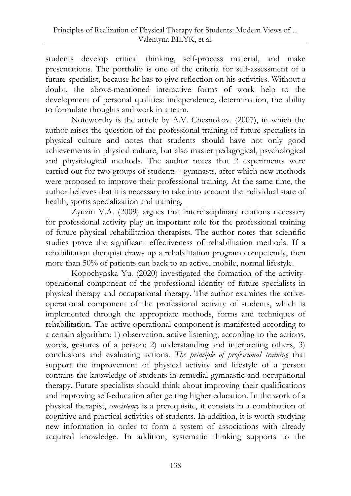students develop critical thinking, self-process material, and make presentations. The portfolio is one of the criteria for self-assessment of a future specialist, because he has to give reflection on his activities. Without a doubt, the above-mentioned interactive forms of work help to the development of personal qualities: independence, determination, the ability to formulate thoughts and work in a team.

Noteworthy is the article by A.V. Chesnokov. (2007), in which the author raises the question of the professional training of future specialists in physical culture and notes that students should have not only good achievements in physical culture, but also master pedagogical, psychological and physiological methods. The author notes that 2 experiments were carried out for two groups of students - gymnasts, after which new methods were proposed to improve their professional training. At the same time, the author believes that it is necessary to take into account the individual state of health, sports specialization and training.

Zyuzin V.A. (2009) argues that interdisciplinary relations necessary for professional activity play an important role for the professional training of future physical rehabilitation therapists. The author notes that scientific studies prove the significant effectiveness of rehabilitation methods. If a rehabilitation therapist draws up a rehabilitation program competently, then more than 50% of patients can back to an active, mobile, normal lifestyle.

Kopochynska Yu. (2020) investigated the formation of the activityoperational component of the professional identity of future specialists in physical therapy and occupational therapy. The author examines the activeoperational component of the professional activity of students, which is implemented through the appropriate methods, forms and techniques of rehabilitation. The active-operational component is manifested according to a certain algorithm: 1) observation, active listening, according to the actions, words, gestures of a person; 2) understanding and interpreting others, 3) conclusions and evaluating actions. *The principle of professional training* that support the improvement of physical activity and lifestyle of a person contains the knowledge of students in remedial gymnastic and occupational therapy. Future specialists should think about improving their qualifications and improving self-education after getting higher education. In the work of a physical therapist, *consistency* is a prerequisite, it consists in a combination of cognitive and practical activities of students. In addition, it is worth studying new information in order to form a system of associations with already acquired knowledge. In addition, systematic thinking supports to the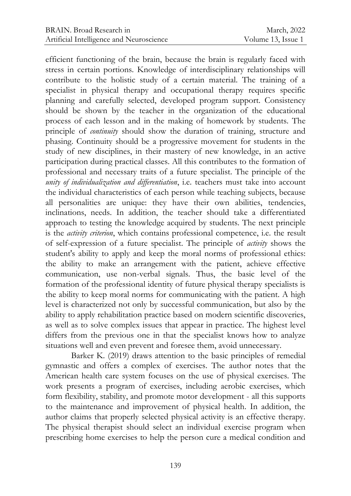efficient functioning of the brain, because the brain is regularly faced with stress in certain portions. Knowledge of interdisciplinary relationships will contribute to the holistic study of a certain material. The training of a specialist in physical therapy and occupational therapy requires specific planning and carefully selected, developed program support. Consistency should be shown by the teacher in the organization of the educational process of each lesson and in the making of homework by students. The principle of *continuity* should show the duration of training, structure and phasing. Continuity should be a progressive movement for students in the study of new disciplines, in their mastery of new knowledge, in an active participation during practical classes. All this contributes to the formation of professional and necessary traits of a future specialist. The principle of the *unity of individualization and differentiation*, i.e. teachers must take into account the individual characteristics of each person while teaching subjects, because all personalities are unique: they have their own abilities, tendencies, inclinations, needs. In addition, the teacher should take a differentiated approach to testing the knowledge acquired by students. The next principle is the *activity criterion*, which contains professional competence, i.e. the result of self-expression of a future specialist. The principle of *activity* shows the student's ability to apply and keep the moral norms of professional ethics: the ability to make an arrangement with the patient, achieve effective communication, use non-verbal signals. Thus, the basic level of the formation of the professional identity of future physical therapy specialists is the ability to keep moral norms for communicating with the patient. A high level is characterized not only by successful communication, but also by the ability to apply rehabilitation practice based on modern scientific discoveries, as well as to solve complex issues that appear in practice. The highest level differs from the previous one in that the specialist knows how to analyze situations well and even prevent and foresee them, avoid unnecessary.

Barker K. (2019) draws attention to the basic principles of remedial gymnastic and offers a complex of exercises. The author notes that the American health care system focuses on the use of physical exercises. The work presents a program of exercises, including aerobic exercises, which form flexibility, stability, and promote motor development - all this supports to the maintenance and improvement of physical health. In addition, the author claims that properly selected physical activity is an effective therapy. The physical therapist should select an individual exercise program when prescribing home exercises to help the person cure a medical condition and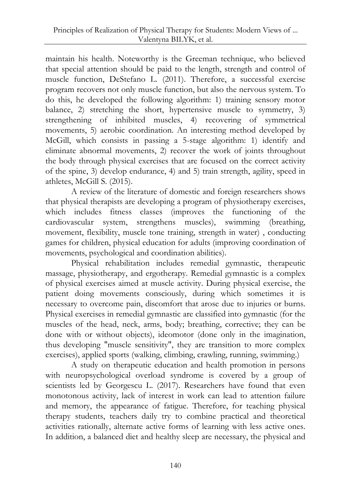maintain his health. Noteworthy is the Greeman technique, who believed that special attention should be paid to the length, strength and control of muscle function, DeStefano L. (2011). Therefore, a successful exercise program recovers not only muscle function, but also the nervous system. To do this, he developed the following algorithm: 1) training sensory motor balance, 2) stretching the short, hypertensive muscle to symmetry, 3) strengthening of inhibited muscles, 4) recovering of symmetrical movements, 5) aerobic coordination. An interesting method developed by McGill, which consists in passing a 5-stage algorithm: 1) identify and eliminate abnormal movements, 2) recover the work of joints throughout the body through physical exercises that are focused on the correct activity of the spine, 3) develop endurance, 4) and 5) train strength, agility, speed in athletes, McGill S. (2015).

A review of the literature of domestic and foreign researchers shows that physical therapists are developing a program of physiotherapy exercises, which includes fitness classes (improves the functioning of the cardiovascular system, strengthens muscles), swimming (breathing, movement, flexibility, muscle tone training, strength in water) , conducting games for children, physical education for adults (improving coordination of movements, psychological and coordination abilities).

Physical rehabilitation includes remedial gymnastic, therapeutic massage, physiotherapy, and ergotherapy. Remedial gymnastic is a complex of physical exercises aimed at muscle activity. During physical exercise, the patient doing movements consciously, during which sometimes it is necessary to overcome pain, discomfort that arose due to injuries or burns. Physical exercises in remedial gymnastic are classified into gymnastic (for the muscles of the head, neck, arms, body; breathing, corrective; they can be done with or without objects), ideomotor (done only in the imagination, thus developing "muscle sensitivity", they are transition to more complex exercises), applied sports (walking, climbing, crawling, running, swimming.)

A study on therapeutic education and health promotion in persons with neuropsychological overload syndrome is covered by a group of scientists led by Georgescu L. (2017). Researchers have found that even monotonous activity, lack of interest in work can lead to attention failure and memory, the appearance of fatigue. Therefore, for teaching physical therapy students, teachers daily try to combine practical and theoretical activities rationally, alternate active forms of learning with less active ones. In addition, a balanced diet and healthy sleep are necessary, the physical and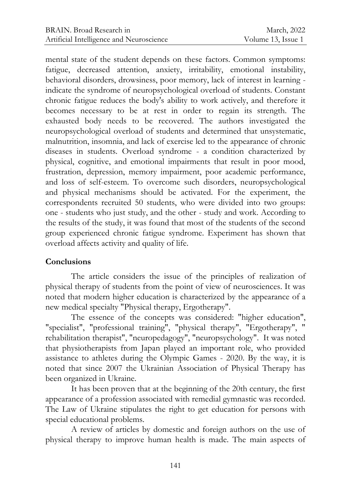mental state of the student depends on these factors. Common symptoms: fatigue, decreased attention, anxiety, irritability, emotional instability, behavioral disorders, drowsiness, poor memory, lack of interest in learning indicate the syndrome of neuropsychological overload of students. Constant chronic fatigue reduces the body's ability to work actively, and therefore it becomes necessary to be at rest in order to regain its strength. The exhausted body needs to be recovered. The authors investigated the neuropsychological overload of students and determined that unsystematic, malnutrition, insomnia, and lack of exercise led to the appearance of chronic diseases in students. Overload syndrome - a condition characterized by physical, cognitive, and emotional impairments that result in poor mood, frustration, depression, memory impairment, poor academic performance, and loss of self-esteem. To overcome such disorders, neuropsychological and physical mechanisms should be activated. For the experiment, the correspondents recruited 50 students, who were divided into two groups: one - students who just study, and the other - study and work. According to the results of the study, it was found that most of the students of the second group experienced chronic fatigue syndrome. Experiment has shown that overload affects activity and quality of life.

### **Conclusions**

The article considers the issue of the principles of realization of physical therapy of students from the point of view of neurosciences. It was noted that modern higher education is characterized by the appearance of a new medical specialty "Physical therapy, Ergotherapy".

The essence of the concepts was considered: "higher education", "specialist", "professional training", "physical therapy", "Ergotherapy", " rehabilitation therapist", "neuropedagogy", "neuropsychology". It was noted that physiotherapists from Japan played an important role, who provided assistance to athletes during the Olympic Games - 2020. By the way, it is noted that since 2007 the Ukrainian Association of Physical Therapy has been organized in Ukraine.

It has been proven that at the beginning of the 20th century, the first appearance of a profession associated with remedial gymnastic was recorded. The Law of Ukraine stipulates the right to get education for persons with special educational problems.

A review of articles by domestic and foreign authors on the use of physical therapy to improve human health is made. The main aspects of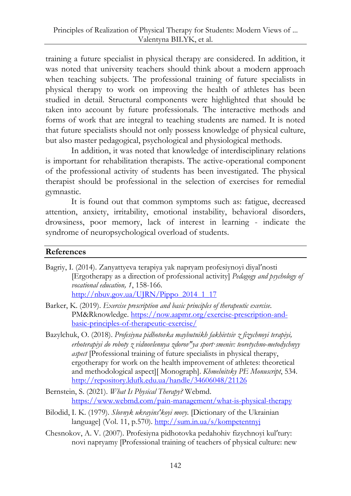training a future specialist in physical therapy are considered. In addition, it was noted that university teachers should think about a modern approach when teaching subjects. The professional training of future specialists in physical therapy to work on improving the health of athletes has been studied in detail. Structural components were highlighted that should be taken into account by future professionals. The interactive methods and forms of work that are integral to teaching students are named. It is noted that future specialists should not only possess knowledge of physical culture, but also master pedagogical, psychological and physiological methods.

In addition, it was noted that knowledge of interdisciplinary relations is important for rehabilitation therapists. The active-operational component of the professional activity of students has been investigated. The physical therapist should be professional in the selection of exercises for remedial gymnastic.

It is found out that common symptoms such as: fatigue, decreased attention, anxiety, irritability, emotional instability, behavioral disorders, drowsiness, poor memory, lack of interest in learning - indicate the syndrome of neuropsychological overload of students.

#### **References**

| Bagriy, I. (2014). Zanyattyeva terapiya yak napryam profesiynoyi diyal'nosti     |
|----------------------------------------------------------------------------------|
| [Ergotherapy as a direction of professional activity] Pedagogy and psychology of |
| vocational education, 1, 158-166.                                                |
| $\frac{\text{http://nbur.gov.ua/UIRN/Pippo_2014_117}}{$                          |

- Barker, K. (2019). *Exercise prescription and basic principles of therapeutic exercise.* PM&Rknowledge[. https://now.aapmr.org/exercise-prescription-and](https://now.aapmr.org/exercise-prescription-and-basic-principles-of-therapeutic-exercise/)[basic-principles-of-therapeutic-exercise/](https://now.aapmr.org/exercise-prescription-and-basic-principles-of-therapeutic-exercise/)
- Bazylchuk, O. (2018). *Profesiyna pidhotovka maybutnikh fakhivtsiv z fizychnoyi terapiyi, erhoterapiyi do roboty z vidnovlennya zdorovʺya sport·smeniv: teoretychno-metodychnyy aspect* [Professional training of future specialists in physical therapy, ergotherapy for work on the health improvement of athletes: theoretical and methodological aspect][ Monograph]. *Khmelnitsky PE Monuscript*, 534. <http://repository.ldufk.edu.ua/handle/34606048/21126>
- Bernstein, S. (2021). *What Is Physical Therapy?* Webmd. <https://www.webmd.com/pain-management/what-is-physical-therapy>
- Bilodid, I. K. (1979). *Slovnyk ukrayinsʹkoyi movy.* [Dictionary of the Ukrainian language] (Vol. 11, p.570).<http://sum.in.ua/s/kompetentnyj>
- Chesnokov, A. V. (2007). Profesiyna pidhotovka pedahohiv fizychnoyi kulʹtury: novi napryamy [Professional training of teachers of physical culture: new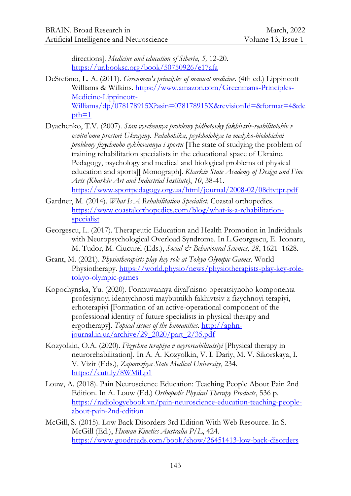directions]. *Medicine and education of Siberia, 5,* 12-20. <https://ur.booksc.org/book/50750926/e17afa>

DeStefano, L. A. (2011). *Greenman's principles of manual medicine*. (4th ed.) Lippincott Williams & Wilkins. [https://www.amazon.com/Greenmans-Principles-](https://www.amazon.com/Greenmans-Principles-Medicine-Lippincott-Williams/dp/078178915X?asin=078178915X&revisionId=&format=4&depth=1)[Medicine-Lippincott-](https://www.amazon.com/Greenmans-Principles-Medicine-Lippincott-Williams/dp/078178915X?asin=078178915X&revisionId=&format=4&depth=1)[Williams/dp/078178915X?asin=078178915X&revisionId=&format=4&de](https://www.amazon.com/Greenmans-Principles-Medicine-Lippincott-Williams/dp/078178915X?asin=078178915X&revisionId=&format=4&depth=1) [pth=1](https://www.amazon.com/Greenmans-Principles-Medicine-Lippincott-Williams/dp/078178915X?asin=078178915X&revisionId=&format=4&depth=1)

Dyachenko, T.V. (2007). *Stan vyvchennya problemy pidhotovky fakhivtsiv-reabilitolohiv v osvitnʹomu prostori Ukrayiny. Pedahohika, psykholohiya ta medyko-biolohichni problemy fizychnoho vykhovannya i sportu* [The state of studying the problem of training rehabilitation specialists in the educational space of Ukraine. Pedagogy, psychology and medical and biological problems of physical education and sports][ Monograph]. *Kharkiv State Academy of Design and Fine Arts (Kharkiv Art and Industrial Institute)*, *10*, 38-41. <https://www.sportpedagogy.org.ua/html/journal/2008-02/08dtvtpr.pdf>

- Gardner, M. (2014). *What Is A Rehabilitation Specialist*. Coastal orthopedics. [https://www.coastalorthopedics.com/blog/what-is-a-rehabilitation](https://www.coastalorthopedics.com/blog/what-is-a-rehabilitation-specialist)[specialist](https://www.coastalorthopedics.com/blog/what-is-a-rehabilitation-specialist)
- Georgescu, L. (2017). Therapeutic Education and Health Promotion in Individuals with Neuropsychological Overload Syndrome. In L.Georgescu, E. Iconaru, M. Tudor, M. Ciucurel (Eds.), *Social & Behavioural Sciences, 28*, 1621–1628.
- Grant, M. (2021). *Physiotherapists play key role at Tokyo Olympic Games*. World Physiotherapy. [https://world.physio/news/physiotherapists-play-key-role](https://world.physio/news/physiotherapists-play-key-role-tokyo-olympic-games)[tokyo-olympic-games](https://world.physio/news/physiotherapists-play-key-role-tokyo-olympic-games)
- Kopochynska, Yu. (2020). Formuvannya diyalʹnisno-operatsiynoho komponenta profesiynoyi identychnosti maybutnikh fakhivtsiv z fizychnoyi terapiyi, erhoterapiyi [Formation of an active-operational component of the professional identity of future specialists in physical therapy and ergotherapy]. *Topical issues of the humanities.* [http://aphn](http://aphn-journal.in.ua/archive/29_2020/part_2/35.pdf)[journal.in.ua/archive/29\\_2020/part\\_2/35.pdf](http://aphn-journal.in.ua/archive/29_2020/part_2/35.pdf)
- Kozyolkin, O.A. (2020). *Fizychna terapiya v neyroreabilitatsiyi* [Physical therapy in neurorehabilitation]. In A. A. Kozyolkin, V. I. Dariy, M. V. Sikorskaya, I. V. Vizir (Eds.), *Zaporozhya State Medical University*, 234. <https://cutt.ly/8WMiLp1>
- Louw, A. (2018). Pain Neuroscience Education: Teaching People About Pain 2nd Edition. In A. Louw (Ed.) *Orthopedic Physical Therapy Products*, 536 p. [https://radiologyebook.vn/pain-neuroscience-education-teaching-people](https://radiologyebook.vn/pain-neuroscience-education-teaching-people-about-pain-2nd-edition)[about-pain-2nd-edition](https://radiologyebook.vn/pain-neuroscience-education-teaching-people-about-pain-2nd-edition)
- McGill, S. (2015). Low Back Disorders 3rd Edition With Web Resource. In S. McGill (Ed.), *Human Kinetics Australia P/L*, 424. <https://www.goodreads.com/book/show/26451413-low-back-disorders>